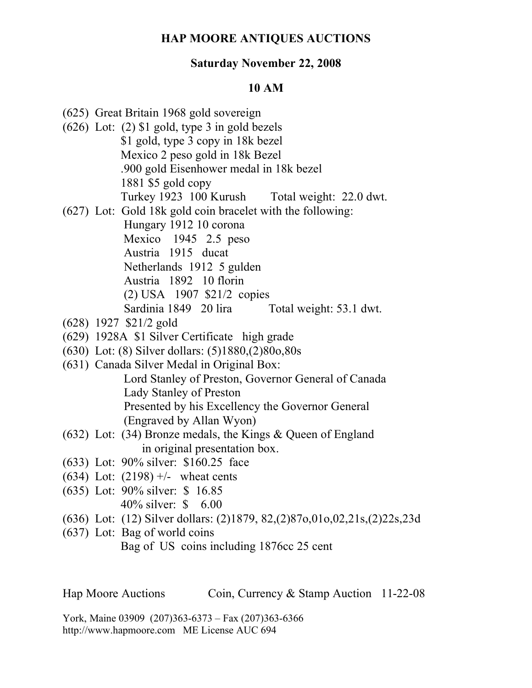## **HAP MOORE ANTIQUES AUCTIONS**

## **Saturday November 22, 2008**

## **10 AM**

- (625) Great Britain 1968 gold sovereign
- (626) Lot: (2) \$1 gold, type 3 in gold bezels \$1 gold, type 3 copy in 18k bezel Mexico 2 peso gold in 18k Bezel .900 gold Eisenhower medal in 18k bezel 1881 \$5 gold copy Turkey 1923 100 Kurush Total weight: 22.0 dwt.
- (627) Lot: Gold 18k gold coin bracelet with the following: Hungary 1912 10 corona
	- Mexico 1945 2.5 peso
		-
	- Austria 1915 ducat
	- Netherlands 1912 5 gulden
	- Austria 1892 10 florin
	- (2) USA 1907 \$21/2 copies
	- Sardinia 1849 20 lira Total weight: 53.1 dwt.
- (628) 1927 \$21/2 gold
- (629) 1928A \$1 Silver Certificate high grade
- (630) Lot: (8) Silver dollars: (5)1880,(2)80o,80s
- (631) Canada Silver Medal in Original Box: Lord Stanley of Preston, Governor General of Canada Lady Stanley of Preston Presented by his Excellency the Governor General (Engraved by Allan Wyon)
- (632) Lot: (34) Bronze medals, the Kings & Queen of England in original presentation box.
- (633) Lot: 90% silver: \$160.25 face
- (634) Lot:  $(2198)$  +/- wheat cents
- (635) Lot: 90% silver: \$ 16.85 40% silver: \$ 6.00
- (636) Lot: (12) Silver dollars: (2)1879, 82,(2)87o,01o,02,21s,(2)22s,23d
- (637) Lot: Bag of world coins Bag of US coins including 1876cc 25 cent

Hap Moore Auctions Coin, Currency & Stamp Auction 11-22-08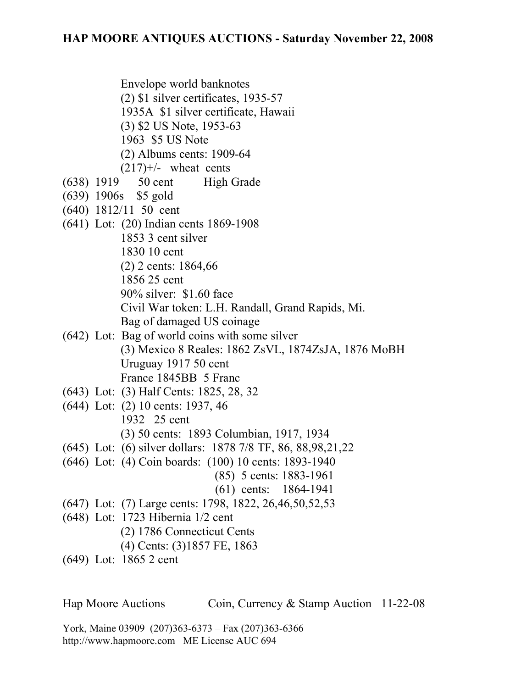Envelope world banknotes

- (2) \$1 silver certificates, 1935-57
- 1935A \$1 silver certificate, Hawaii
- (3) \$2 US Note, 1953-63
- 1963 \$5 US Note
- (2) Albums cents: 1909-64
- $(217)$ <sup>+/-</sup> wheat cents
- (638) 1919 50 cent High Grade
- (639) 1906s \$5 gold
- (640) 1812/11 50 cent
- (641) Lot: (20) Indian cents 1869-1908 1853 3 cent silver 1830 10 cent (2) 2 cents: 1864,66 1856 25 cent 90% silver: \$1.60 face Civil War token: L.H. Randall, Grand Rapids, Mi. Bag of damaged US coinage
- (642) Lot: Bag of world coins with some silver (3) Mexico 8 Reales: 1862 ZsVL, 1874ZsJA, 1876 MoBH Uruguay 1917 50 cent France 1845BB 5 Franc
- (643) Lot: (3) Half Cents: 1825, 28, 32
- (644) Lot: (2) 10 cents: 1937, 46 1932 25 cent (3) 50 cents: 1893 Columbian, 1917, 1934
- (645) Lot: (6) silver dollars: 1878 7/8 TF, 86, 88,98,21,22
- (646) Lot: (4) Coin boards: (100) 10 cents: 1893-1940
	- (85) 5 cents: 1883-1961
	- (61) cents: 1864-1941
- (647) Lot: (7) Large cents: 1798, 1822, 26,46,50,52,53
- (648) Lot: 1723 Hibernia 1/2 cent
	- (2) 1786 Connecticut Cents
	- (4) Cents: (3)1857 FE, 1863
- (649) Lot: 1865 2 cent

Hap Moore Auctions Coin, Currency & Stamp Auction 11-22-08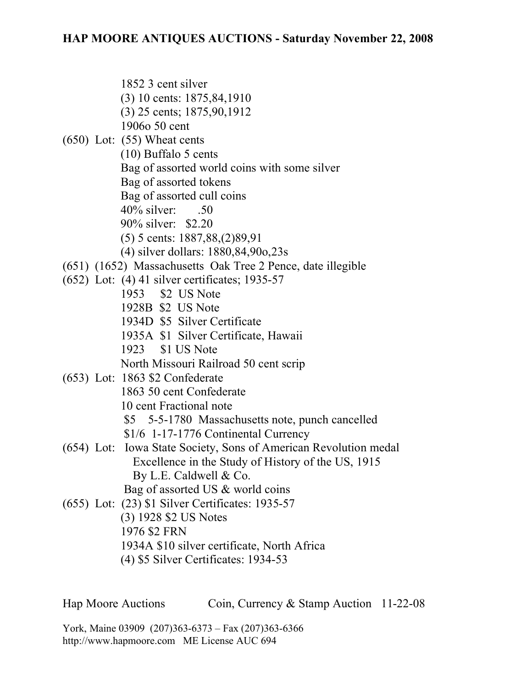1852 3 cent silver (3) 10 cents: 1875,84,1910 (3) 25 cents; 1875,90,1912 1906o 50 cent (650) Lot: (55) Wheat cents (10) Buffalo 5 cents Bag of assorted world coins with some silver Bag of assorted tokens Bag of assorted cull coins 40% silver: .50 90% silver: \$2.20 (5) 5 cents: 1887,88,(2)89,91 (4) silver dollars: 1880,84,90o,23s (651) (1652) Massachusetts Oak Tree 2 Pence, date illegible (652) Lot: (4) 41 silver certificates; 1935-57 1953 \$2 US Note 1928B \$2 US Note 1934D \$5 Silver Certificate 1935A \$1 Silver Certificate, Hawaii 1923 \$1 US Note North Missouri Railroad 50 cent scrip (653) Lot: 1863 \$2 Confederate 1863 50 cent Confederate 10 cent Fractional note \$5 5-5-1780 Massachusetts note, punch cancelled \$1/6 1-17-1776 Continental Currency (654) Lot: Iowa State Society, Sons of American Revolution medal Excellence in the Study of History of the US, 1915 By L.E. Caldwell & Co. Bag of assorted US & world coins (655) Lot: (23) \$1 Silver Certificates: 1935-57 (3) 1928 \$2 US Notes 1976 \$2 FRN 1934A \$10 silver certificate, North Africa (4) \$5 Silver Certificates: 1934-53

Hap Moore Auctions Coin, Currency & Stamp Auction 11-22-08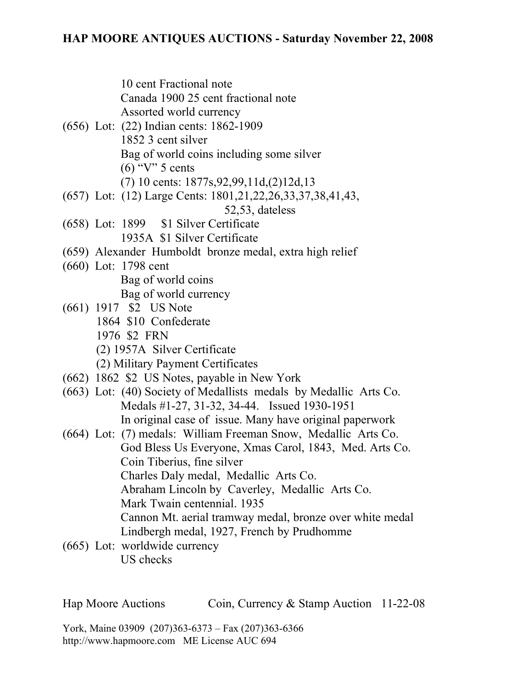10 cent Fractional note Canada 1900 25 cent fractional note Assorted world currency

- (656) Lot: (22) Indian cents: 1862-1909 1852 3 cent silver Bag of world coins including some silver  $(6)$  "V" 5 cents (7) 10 cents: 1877s,92,99,11d,(2)12d,13
- (657) Lot: (12) Large Cents: 1801,21,22,26,33,37,38,41,43, 52,53, dateless
- (658) Lot: 1899 \$1 Silver Certificate 1935A \$1 Silver Certificate
- (659) Alexander Humboldt bronze medal, extra high relief
- (660) Lot: 1798 cent
	- Bag of world coins Bag of world currency
- (661) 1917 \$2 US Note 1864 \$10 Confederate 1976 \$2 FRN (2) 1957A Silver Certificate
	- (2) Military Payment Certificates
- (662) 1862 \$2 US Notes, payable in New York
- (663) Lot: (40) Society of Medallists medals by Medallic Arts Co. Medals #1-27, 31-32, 34-44. Issued 1930-1951 In original case of issue. Many have original paperwork
- (664) Lot: (7) medals: William Freeman Snow, Medallic Arts Co. God Bless Us Everyone, Xmas Carol, 1843, Med. Arts Co. Coin Tiberius, fine silver Charles Daly medal, Medallic Arts Co. Abraham Lincoln by Caverley, Medallic Arts Co. Mark Twain centennial. 1935 Cannon Mt. aerial tramway medal, bronze over white medal Lindbergh medal, 1927, French by Prudhomme
- (665) Lot: worldwide currency US checks

Hap Moore Auctions Coin, Currency & Stamp Auction 11-22-08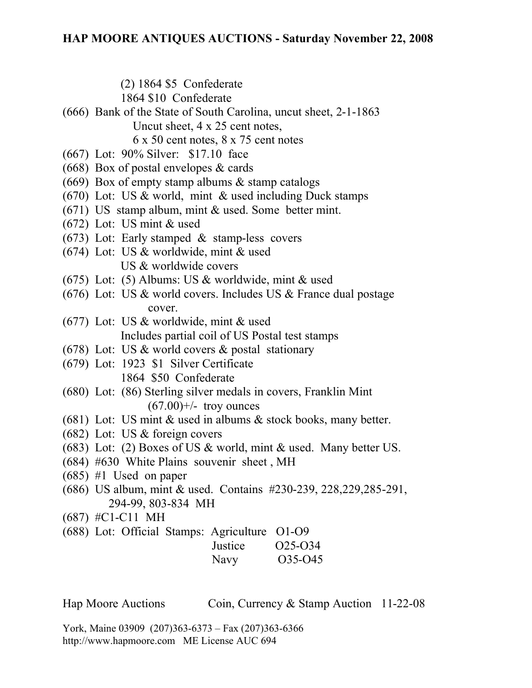(2) 1864 \$5 Confederate

1864 \$10 Confederate

(666) Bank of the State of South Carolina, uncut sheet, 2-1-1863 Uncut sheet, 4 x 25 cent notes,

6 x 50 cent notes, 8 x 75 cent notes

- (667) Lot: 90% Silver: \$17.10 face
- (668) Box of postal envelopes & cards
- (669) Box of empty stamp albums & stamp catalogs
- $(670)$  Lot: US & world, mint & used including Duck stamps
- (671) US stamp album, mint & used. Some better mint.
- (672) Lot: US mint & used
- $(673)$  Lot: Early stamped & stamp-less covers
- (674) Lot: US & worldwide, mint & used US & worldwide covers
- (675) Lot: (5) Albums: US & worldwide, mint & used
- (676) Lot: US  $&$  world covers. Includes US  $&$  France dual postage cover.
- (677) Lot: US & worldwide, mint & used Includes partial coil of US Postal test stamps
- (678) Lot: US  $&$  world covers  $&$  postal stationary
- (679) Lot: 1923 \$1 Silver Certificate 1864 \$50 Confederate
- (680) Lot: (86) Sterling silver medals in covers, Franklin Mint  $(67.00)$ +/- troy ounces
- (681) Lot: US mint  $&$  used in albums  $&$  stock books, many better.
- (682) Lot: US & foreign covers
- (683) Lot: (2) Boxes of US & world, mint & used. Many better US.
- (684) #630 White Plains souvenir sheet , MH
- (685) #1 Used on paper
- (686) US album, mint & used. Contains #230-239, 228,229,285-291, 294-99, 803-834 MH
- (687) #C1-C11 MH
- (688) Lot: Official Stamps: Agriculture O1-O9

| $\sqrt{2}$ | Justice | 025-034 |
|------------|---------|---------|
|            | Navy    | O35-O45 |

Hap Moore Auctions Coin, Currency & Stamp Auction 11-22-08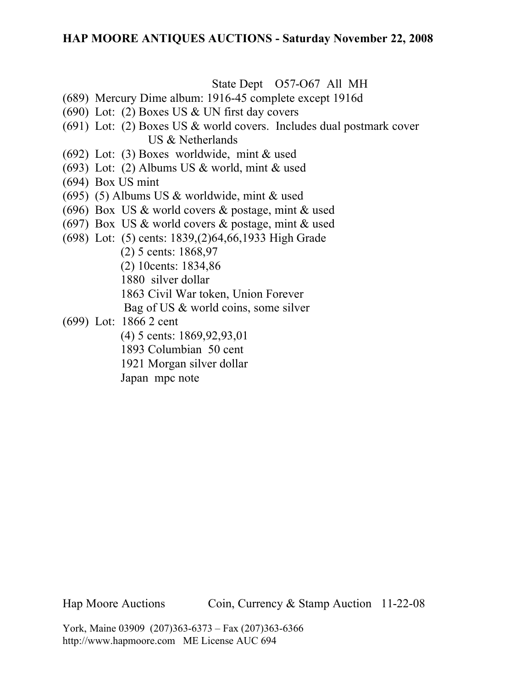## **HAP MOORE ANTIQUES AUCTIONS - Saturday November 22, 2008**

State Dept O57-O67 All MH

- (689) Mercury Dime album: 1916-45 complete except 1916d
- (690) Lot: (2) Boxes US & UN first day covers
- (691) Lot: (2) Boxes US & world covers. Includes dual postmark cover US & Netherlands
- (692) Lot: (3) Boxes worldwide, mint & used
- (693) Lot: (2) Albums US & world, mint & used
- (694) Box US mint
- (695) (5) Albums US & worldwide, mint & used
- (696) Box US & world covers & postage, mint & used
- (697) Box US  $\&$  world covers  $\&$  postage, mint  $\&$  used
- (698) Lot: (5) cents: 1839,(2)64,66,1933 High Grade
	- (2) 5 cents: 1868,97
	- (2) 10cents: 1834,86
	- 1880 silver dollar
	- 1863 Civil War token, Union Forever
	- Bag of US & world coins, some silver
- (699) Lot: 1866 2 cent
	- (4) 5 cents: 1869,92,93,01
	- 1893 Columbian 50 cent
	- 1921 Morgan silver dollar
	- Japan mpc note

Hap Moore Auctions Coin, Currency & Stamp Auction 11-22-08